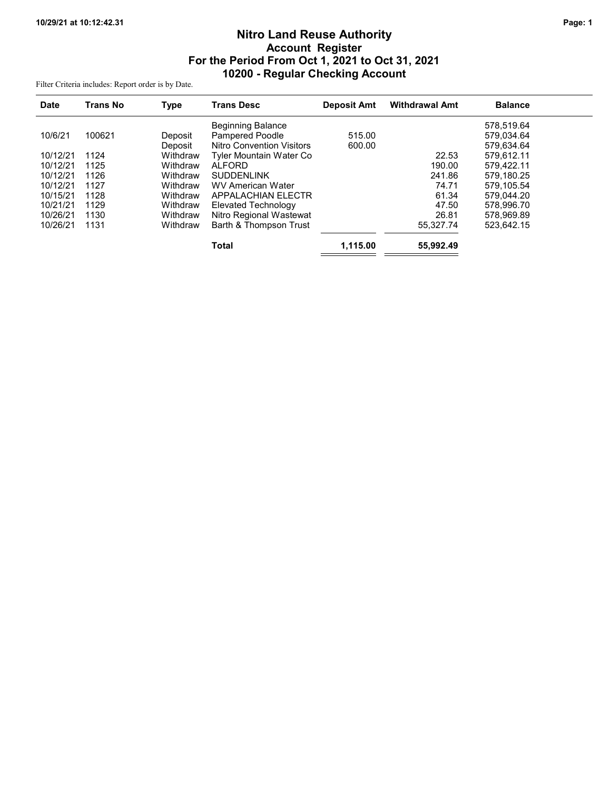# Nitro Land Reuse Authority Account Register For the Period From Oct 1, 2021 to Oct 31, 2021 10200 - Regular Checking Account

Filter Criteria includes: Report order is by Date.

| <b>Date</b> | <b>Trans No</b> | <b>Type</b> | <b>Trans Desc</b>                | <b>Deposit Amt</b> | <b>Withdrawal Amt</b> | <b>Balance</b> |  |
|-------------|-----------------|-------------|----------------------------------|--------------------|-----------------------|----------------|--|
|             |                 |             | <b>Beginning Balance</b>         |                    |                       | 578.519.64     |  |
| 10/6/21     | 100621          | Deposit     | <b>Pampered Poodle</b>           | 515.00             |                       | 579.034.64     |  |
|             |                 | Deposit     | <b>Nitro Convention Visitors</b> | 600.00             |                       | 579,634.64     |  |
| 10/12/21    | 1124            | Withdraw    | Tyler Mountain Water Co          |                    | 22.53                 | 579.612.11     |  |
| 10/12/21    | 1125            | Withdraw    | <b>ALFORD</b>                    |                    | 190.00                | 579.422.11     |  |
| 10/12/21    | 1126            | Withdraw    | <b>SUDDENLINK</b>                |                    | 241.86                | 579.180.25     |  |
| 10/12/21    | 1127            | Withdraw    | WV American Water                |                    | 74.71                 | 579.105.54     |  |
| 10/15/21    | 1128            | Withdraw    | APPALACHIAN ELECTR               |                    | 61.34                 | 579.044.20     |  |
| 10/21/21    | 1129            | Withdraw    | Elevated Technology              |                    | 47.50                 | 578.996.70     |  |
| 10/26/21    | 1130            | Withdraw    | Nitro Regional Wastewat          |                    | 26.81                 | 578.969.89     |  |
| 10/26/21    | 1131            | Withdraw    | Barth & Thompson Trust           |                    | 55.327.74             | 523.642.15     |  |
|             |                 |             | <b>Total</b>                     | 1,115.00           | 55,992.49             |                |  |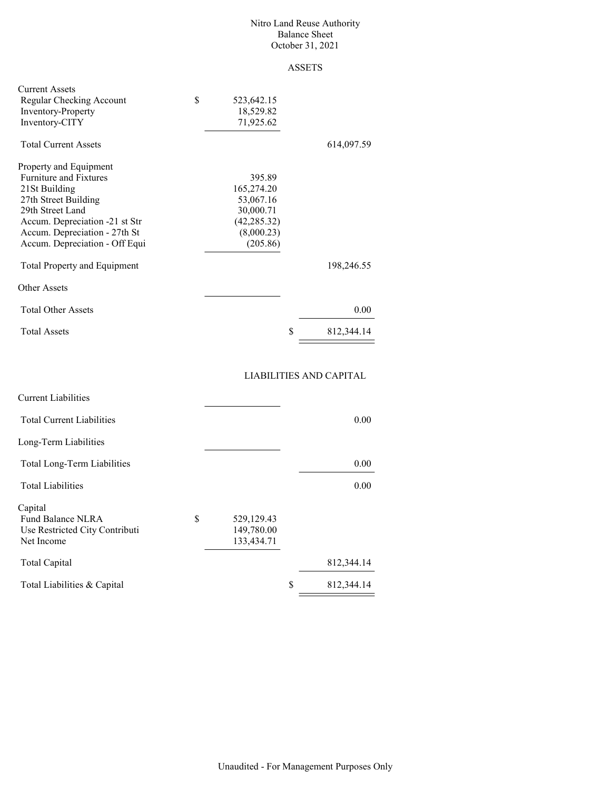#### Nitro Land Reuse Authority Balance Sheet October 31, 2021

# ASSETS

| <b>Current Assets</b><br>Regular Checking Account<br><b>Inventory-Property</b><br>Inventory-CITY                                                                                                                          | \$<br>523,642.15<br>18,529.82<br>71,925.62                                               |            |
|---------------------------------------------------------------------------------------------------------------------------------------------------------------------------------------------------------------------------|------------------------------------------------------------------------------------------|------------|
| <b>Total Current Assets</b>                                                                                                                                                                                               |                                                                                          | 614,097.59 |
| Property and Equipment<br><b>Furniture and Fixtures</b><br>21St Building<br>27th Street Building<br>29th Street Land<br>Accum. Depreciation -21 st Str<br>Accum. Depreciation - 27th St<br>Accum. Depreciation - Off Equi | 395.89<br>165,274.20<br>53,067.16<br>30,000.71<br>(42, 285.32)<br>(8,000.23)<br>(205.86) |            |
| <b>Total Property and Equipment</b>                                                                                                                                                                                       |                                                                                          | 198,246.55 |
| Other Assets                                                                                                                                                                                                              |                                                                                          |            |
| <b>Total Other Assets</b>                                                                                                                                                                                                 | 0.00                                                                                     |            |
| <b>Total Assets</b>                                                                                                                                                                                                       | \$<br>812,344.14                                                                         |            |

# LIABILITIES AND CAPITAL

|                                        | 0.00       |
|----------------------------------------|------------|
|                                        |            |
|                                        | 0.00       |
|                                        | 0.00       |
|                                        |            |
|                                        |            |
|                                        |            |
|                                        |            |
|                                        | 812,344.14 |
| \$                                     | 812,344.14 |
| 529,129.43<br>149,780.00<br>133,434.71 |            |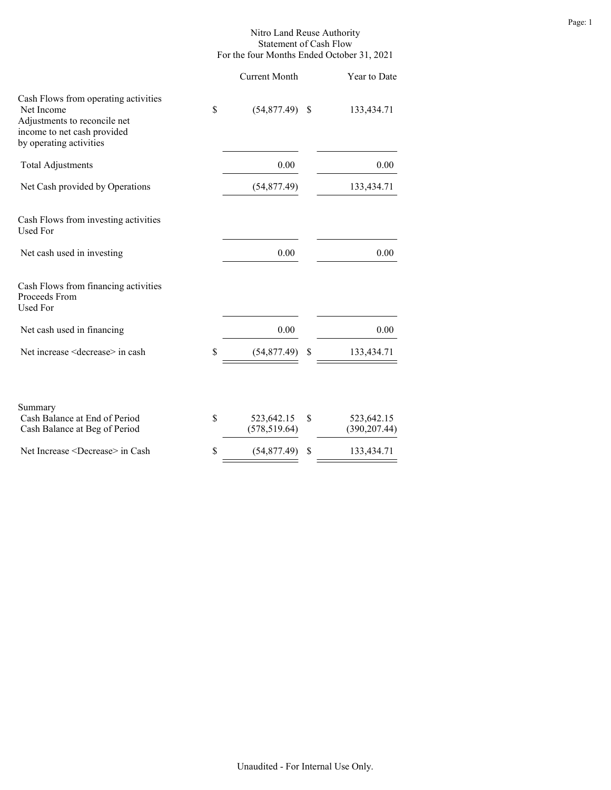### Nitro Land Reuse Authority Statement of Cash Flow For the four Months Ended October 31, 2021

|                                                                                                                                              | <b>Current Month</b>              |    | Year to Date                |
|----------------------------------------------------------------------------------------------------------------------------------------------|-----------------------------------|----|-----------------------------|
| Cash Flows from operating activities<br>Net Income<br>Adjustments to reconcile net<br>income to net cash provided<br>by operating activities | \$<br>$(54,877.49)$ \$            |    | 133,434.71                  |
| <b>Total Adjustments</b>                                                                                                                     | 0.00                              |    | 0.00                        |
| Net Cash provided by Operations                                                                                                              | (54, 877.49)                      |    | 133,434.71                  |
| Cash Flows from investing activities<br><b>Used For</b>                                                                                      |                                   |    |                             |
| Net cash used in investing                                                                                                                   | 0.00                              |    | 0.00                        |
| Cash Flows from financing activities<br>Proceeds From<br><b>Used For</b>                                                                     |                                   |    |                             |
| Net cash used in financing                                                                                                                   | 0.00                              |    | 0.00                        |
| Net increase <decrease> in cash</decrease>                                                                                                   | \$<br>(54, 877.49)                | S  | 133,434.71                  |
| Summary<br>Cash Balance at End of Period<br>Cash Balance at Beg of Period                                                                    | \$<br>523,642.15<br>(578, 519.64) | \$ | 523,642.15<br>(390, 207.44) |
| Net Increase <decrease> in Cash</decrease>                                                                                                   | \$<br>(54, 877.49)                | \$ | 133,434.71                  |